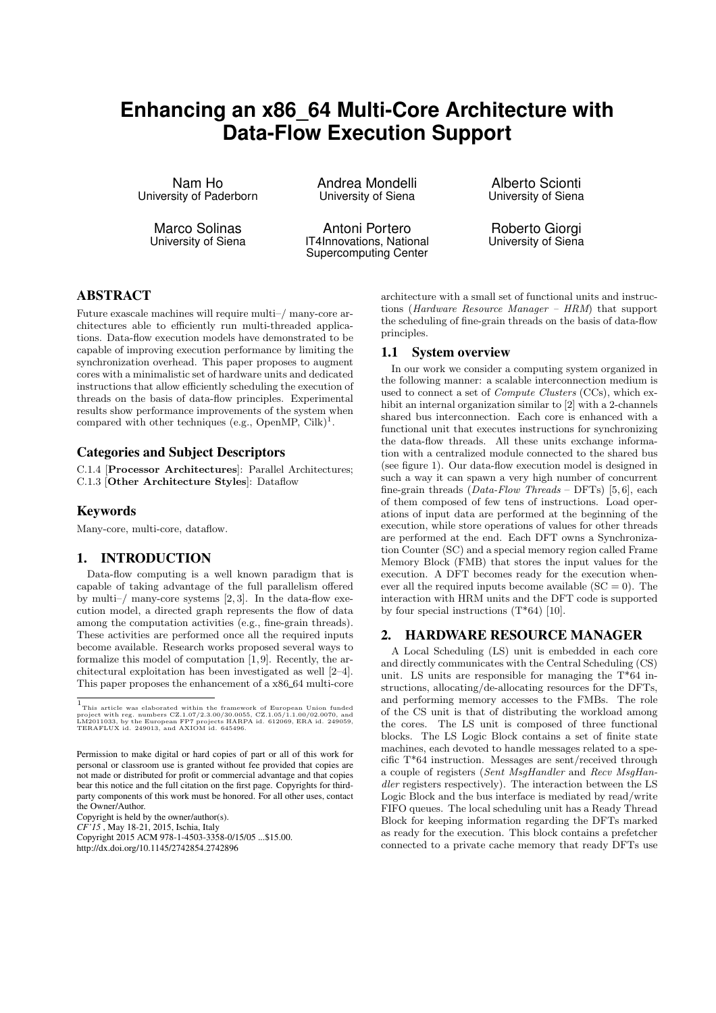# **Enhancing an x86\_64 Multi-Core Architecture with Data-Flow Execution Support**

Nam Ho University of Paderborn

> Marco Solinas University of Siena

Andrea Mondelli University of Siena

Antoni Portero IT4Innovations, National Supercomputing Center

Alberto Scionti University of Siena

Roberto Giorgi University of Siena

## ABSTRACT

Future exascale machines will require multi–/ many-core architectures able to efficiently run multi-threaded applications. Data-flow execution models have demonstrated to be capable of improving execution performance by limiting the synchronization overhead. This paper proposes to augment cores with a minimalistic set of hardware units and dedicated instructions that allow efficiently scheduling the execution of threads on the basis of data-flow principles. Experimental results show performance improvements of the system when compared with other techniques (e.g., OpenMP,  $Cilk$ )<sup>1</sup>.

## Categories and Subject Descriptors

C.1.4 [Processor Architectures]: Parallel Architectures; C.1.3 [Other Architecture Styles]: Dataflow

## Keywords

Many-core, multi-core, dataflow.

## 1. INTRODUCTION

Data-flow computing is a well known paradigm that is capable of taking advantage of the full parallelism offered by multi–/ many-core systems [2, 3]. In the data-flow execution model, a directed graph represents the flow of data among the computation activities (e.g., fine-grain threads). These activities are performed once all the required inputs become available. Research works proposed several ways to formalize this model of computation [1, 9]. Recently, the architectural exploitation has been investigated as well [2–4]. This paper proposes the enhancement of a  $x86-64$  multi-core

Copyright is held by the owner/author(s). *CF'15* , May 18-21, 2015, Ischia, Italy Copyright 2015 ACM 978-1-4503-3358-0/15/05 ...\$15.00. http://dx.doi.org/10.1145/2742854.2742896

architecture with a small set of functional units and instructions (Hardware Resource Manager – HRM) that support the scheduling of fine-grain threads on the basis of data-flow principles.

## 1.1 System overview

In our work we consider a computing system organized in the following manner: a scalable interconnection medium is used to connect a set of Compute Clusters (CCs), which exhibit an internal organization similar to [2] with a 2-channels shared bus interconnection. Each core is enhanced with a functional unit that executes instructions for synchronizing the data-flow threads. All these units exchange information with a centralized module connected to the shared bus (see figure 1). Our data-flow execution model is designed in such a way it can spawn a very high number of concurrent fine-grain threads  $(Data-Flow\ Threads - DFTs)$  [5,6], each of them composed of few tens of instructions. Load operations of input data are performed at the beginning of the execution, while store operations of values for other threads are performed at the end. Each DFT owns a Synchronization Counter (SC) and a special memory region called Frame Memory Block (FMB) that stores the input values for the execution. A DFT becomes ready for the execution whenever all the required inputs become available  $(SC = 0)$ . The interaction with HRM units and the DFT code is supported by four special instructions  $(T*64)$  [10].

## 2. HARDWARE RESOURCE MANAGER

A Local Scheduling (LS) unit is embedded in each core and directly communicates with the Central Scheduling (CS) unit. LS units are responsible for managing the T\*64 instructions, allocating/de-allocating resources for the DFTs, and performing memory accesses to the FMBs. The role of the CS unit is that of distributing the workload among the cores. The LS unit is composed of three functional blocks. The LS Logic Block contains a set of finite state machines, each devoted to handle messages related to a specific T\*64 instruction. Messages are sent/received through a couple of registers (Sent MsgHandler and Recv MsgHandler registers respectively). The interaction between the LS Logic Block and the bus interface is mediated by read/write FIFO queues. The local scheduling unit has a Ready Thread Block for keeping information regarding the DFTs marked as ready for the execution. This block contains a prefetcher connected to a private cache memory that ready DFTs use

<sup>1</sup> This article was elaborated within the framework of European Union funded project with reg. numbers CZ.1.07/2.3.00/30.0055, CZ.1.05/1.1.00/02.0070, and<br>LM2011033, by the European FP7 projects HARPA id. 612069, ERA id. 249059,<br>TERAFLUX id. 249013, and AXIOM id. 645496.

Permission to make digital or hard copies of part or all of this work for personal or classroom use is granted without fee provided that copies are not made or distributed for profit or commercial advantage and that copies bear this notice and the full citation on the first page. Copyrights for thirdparty components of this work must be honored. For all other uses, contact the Owner/Author.